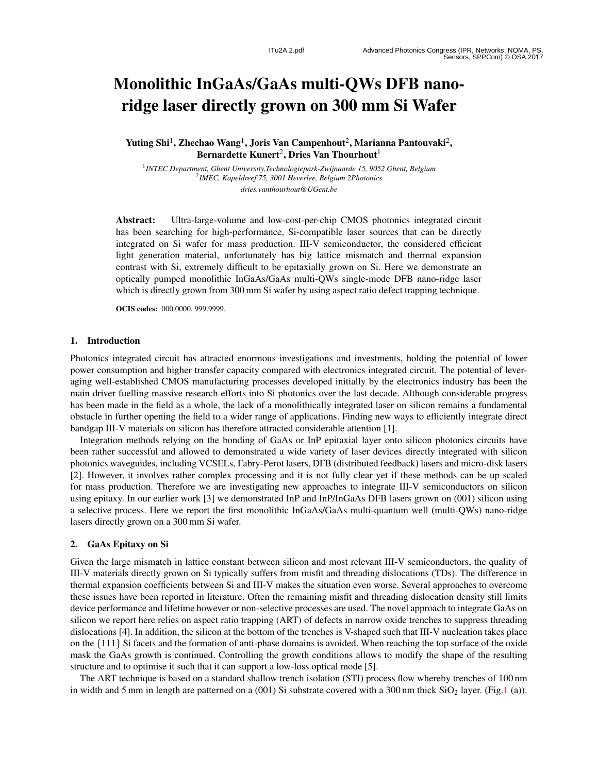# Monolithic InGaAs/GaAs multi-QWs DFB nanoridge laser directly grown on 300 mm Si Wafer

Yuting Shi $^1$ , Zhechao Wang $^1$ , Joris Van Campenhout $^2$ , Marianna Pantouvaki $^2$ , Bernardette Kunert $^2$ , Dries Van Thourhout $^1$ 

1 *INTEC Department, Ghent University,Technologiepark-Zwijnaarde 15, 9052 Ghent, Belgium* 2 *IMEC, Kapeldreef 75, 3001 Heverlee, Belgium 2Photonics dries.vanthourhout@UGent.be*

Abstract: Ultra-large-volume and low-cost-per-chip CMOS photonics integrated circuit has been searching for high-performance, Si-compatible laser sources that can be directly integrated on Si wafer for mass production. III-V semiconductor, the considered efficient light generation material, unfortunately has big lattice mismatch and thermal expansion contrast with Si, extremely difficult to be epitaxially grown on Si. Here we demonstrate an optically pumped monolithic InGaAs/GaAs multi-QWs single-mode DFB nano-ridge laser which is directly grown from 300 mm Si wafer by using aspect ratio defect trapping technique.

OCIS codes: 000.0000, 999.9999.

#### 1. Introduction

Photonics integrated circuit has attracted enormous investigations and investments, holding the potential of lower power consumption and higher transfer capacity compared with electronics integrated circuit. The potential of leveraging well-established CMOS manufacturing processes developed initially by the electronics industry has been the main driver fuelling massive research efforts into Si photonics over the last decade. Although considerable progress has been made in the field as a whole, the lack of a monolithically integrated laser on silicon remains a fundamental obstacle in further opening the field to a wider range of applications. Finding new ways to efficiently integrate direct bandgap III-V materials on silicon has therefore attracted considerable attention [1].

Integration methods relying on the bonding of GaAs or InP epitaxial layer onto silicon photonics circuits have been rather successful and allowed to demonstrated a wide variety of laser devices directly integrated with silicon photonics waveguides, including VCSELs, Fabry-Perot lasers, DFB (distributed feedback) lasers and micro-disk lasers [2]. However, it involves rather complex processing and it is not fully clear yet if these methods can be up scaled for mass production. Therefore we are investigating new approaches to integrate III-V semiconductors on silicon using epitaxy. In our earlier work [3] we demonstrated InP and InP/InGaAs DFB lasers grown on (001) silicon using a selective process. Here we report the first monolithic InGaAs/GaAs multi-quantum well (multi-QWs) nano-ridge lasers directly grown on a 300 mm Si wafer.

#### 2. GaAs Epitaxy on Si

Given the large mismatch in lattice constant between silicon and most relevant III-V semiconductors, the quality of III-V materials directly grown on Si typically suffers from misfit and threading dislocations (TDs). The difference in thermal expansion coefficients between Si and III-V makes the situation even worse. Several approaches to overcome these issues have been reported in literature. Often the remaining misfit and threading dislocation density still limits device performance and lifetime however or non-selective processes are used. The novel approach to integrate GaAs on silicon we report here relies on aspect ratio trapping (ART) of defects in narrow oxide trenches to suppress threading dislocations [4]. In addition, the silicon at the bottom of the trenches is V-shaped such that III-V nucleation takes place on the {111 } Si facets and the formation of anti-phase domains is avoided. When reaching the top surface of the oxide mask the GaAs growth is continued. Controlling the growth conditions allows to modify the shape of the resulting structure and to optimise it such that it can support a low-loss optical mode [5].

The ART technique is based on a standard shallow trench isolation (STI) process flow whereby trenches of 100 nm in width and 5 mm in length are patterned on a (001) Si substrate covered with a 300 nm thick SiO<sub>2</sub> layer. (Fig.1 (a)).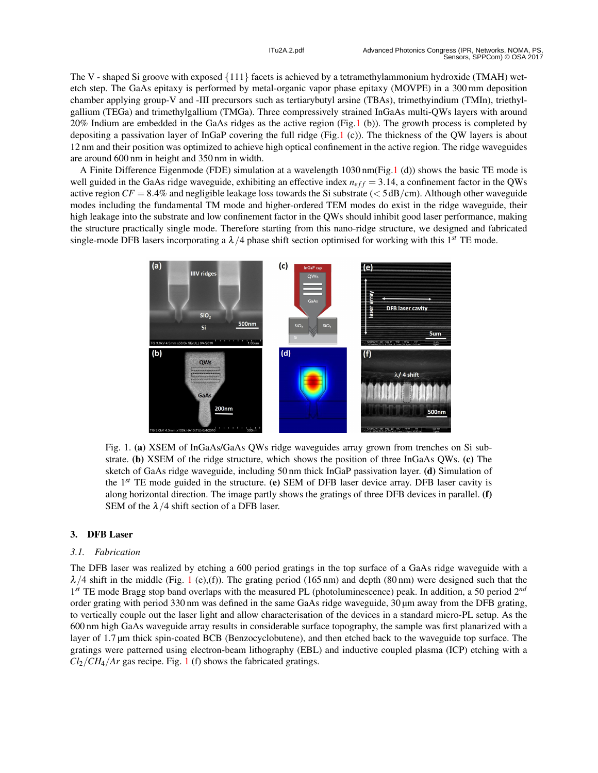The V - shaped Si groove with exposed {111 } facets is achieved by a tetramethylammonium hydroxide (TMAH) wetetch step. The GaAs epitaxy is performed by metal-organic vapor phase epitaxy (MOVPE) in a 300 mm deposition chamber applying group-V and -III precursors such as tertiarybutyl arsine (TBAs), trimethyindium (TMIn), triethylgallium (TEGa) and trimethylgallium (TMGa). Three compressively strained InGaAs multi-QWs layers with around 20% Indium are embedded in the GaAs ridges as the active region (Fig.1 (b)). The growth process is completed by depositing a passivation layer of InGaP covering the full ridge (Fig.1 (c)). The thickness of the QW layers is about 12 nm and their position was optimized to achieve high optical confinement in the active region. The ridge waveguides are around 600 nm in height and 350 nm in width.

A Finite Difference Eigenmode (FDE) simulation at a wavelength 1030 nm(Fig.1 (d)) shows the basic TE mode is well guided in the GaAs ridge waveguide, exhibiting an effective index  $n_{eff} = 3.14$ , a confinement factor in the QWs active region  $CF = 8.4\%$  and negligible leakage loss towards the Si substrate ( $< 5 \text{ dB/cm}$ ). Although other waveguide modes including the fundamental TM mode and higher-ordered TEM modes do exist in the ridge waveguide, their high leakage into the substrate and low confinement factor in the QWs should inhibit good laser performance, making the structure practically single mode. Therefore starting from this nano-ridge structure, we designed and fabricated single-mode DFB lasers incorporating a  $\lambda/4$  phase shift section optimised for working with this 1<sup>st</sup> TE mode.



Fig. 1. (a) XSEM of InGaAs/GaAs QWs ridge waveguides array grown from trenches on Si substrate. (b) XSEM of the ridge structure, which shows the position of three InGaAs QWs. (c) The sketch of GaAs ridge waveguide, including 50 nm thick InGaP passivation layer. (d) Simulation of the 1*st* TE mode guided in the structure. (e) SEM of DFB laser device array. DFB laser cavity is along horizontal direction. The image partly shows the gratings of three DFB devices in parallel. (f) SEM of the  $\lambda/4$  shift section of a DFB laser.

## 3. DFB Laser

## *3.1. Fabrication*

The DFB laser was realized by etching a 600 period gratings in the top surface of a GaAs ridge waveguide with a  $\lambda/4$  shift in the middle (Fig. 1 (e),(f)). The grating period (165 nm) and depth (80 nm) were designed such that the 1<sup>st</sup> TE mode Bragg stop band overlaps with the measured PL (photoluminescence) peak. In addition, a 50 period 2<sup>nd</sup> order grating with period 330 nm was defined in the same GaAs ridge waveguide, 30 µm away from the DFB grating, to vertically couple out the laser light and allow characterisation of the devices in a standard micro-PL setup. As the 600 nm high GaAs waveguide array results in considerable surface topography, the sample was first planarized with a layer of 1 .7 µm thick spin-coated BCB (Benzocyclobutene), and then etched back to the waveguide top surface. The gratings were patterned using electron-beam lithography (EBL) and inductive coupled plasma (ICP) etching with a  $Cl_2/CH_4/Ar$  gas recipe. Fig. 1 (f) shows the fabricated gratings.